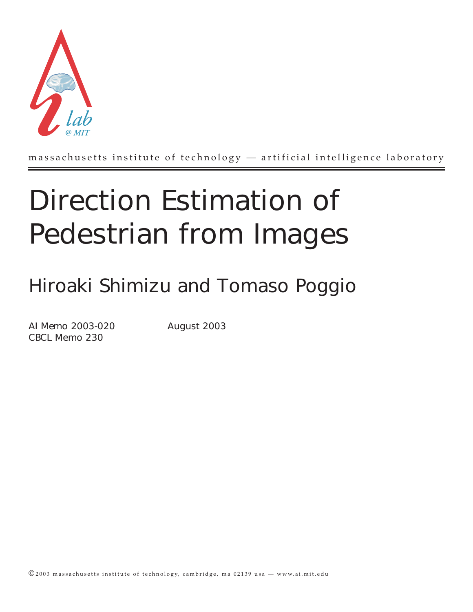

massachusetts institute of technology — artificial intelligence laboratory

# Direction Estimation of Pedestrian from Images

## Hiroaki Shimizu and Tomaso Poggio

AI Memo 2003-020 August 2003 CBCL Memo 230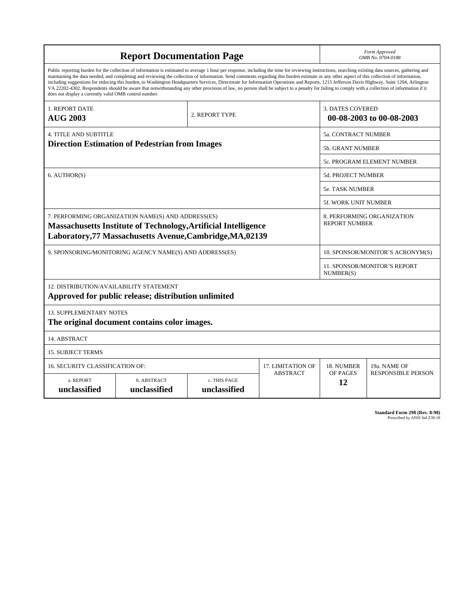| <b>Report Documentation Page</b>                                                                                                                                                                                                                                                                                                                                                                                                                                                                                                                                                                                                                                                                                                                                                                                                                                   |                             |                              |                 |                                                     | Form Approved<br>OMB No. 0704-0188                 |  |  |
|--------------------------------------------------------------------------------------------------------------------------------------------------------------------------------------------------------------------------------------------------------------------------------------------------------------------------------------------------------------------------------------------------------------------------------------------------------------------------------------------------------------------------------------------------------------------------------------------------------------------------------------------------------------------------------------------------------------------------------------------------------------------------------------------------------------------------------------------------------------------|-----------------------------|------------------------------|-----------------|-----------------------------------------------------|----------------------------------------------------|--|--|
| Public reporting burden for the collection of information is estimated to average 1 hour per response, including the time for reviewing instructions, searching existing data sources, gathering and<br>maintaining the data needed, and completing and reviewing the collection of information. Send comments regarding this burden estimate or any other aspect of this collection of information,<br>including suggestions for reducing this burden, to Washington Headquarters Services, Directorate for Information Operations and Reports, 1215 Jefferson Davis Highway, Suite 1204, Arlington<br>VA 22202-4302. Respondents should be aware that notwithstanding any other provision of law, no person shall be subject to a penalty for failing to comply with a collection of information if it<br>does not display a currently valid OMB control number. |                             |                              |                 |                                                     |                                                    |  |  |
| 1. REPORT DATE<br><b>AUG 2003</b>                                                                                                                                                                                                                                                                                                                                                                                                                                                                                                                                                                                                                                                                                                                                                                                                                                  |                             | 2. REPORT TYPE               |                 | <b>3. DATES COVERED</b><br>00-08-2003 to 00-08-2003 |                                                    |  |  |
| <b>4. TITLE AND SUBTITLE</b>                                                                                                                                                                                                                                                                                                                                                                                                                                                                                                                                                                                                                                                                                                                                                                                                                                       |                             |                              |                 |                                                     | 5a. CONTRACT NUMBER                                |  |  |
| <b>Direction Estimation of Pedestrian from Images</b>                                                                                                                                                                                                                                                                                                                                                                                                                                                                                                                                                                                                                                                                                                                                                                                                              |                             |                              |                 |                                                     | <b>5b. GRANT NUMBER</b>                            |  |  |
|                                                                                                                                                                                                                                                                                                                                                                                                                                                                                                                                                                                                                                                                                                                                                                                                                                                                    |                             |                              |                 |                                                     | 5c. PROGRAM ELEMENT NUMBER                         |  |  |
| 6. AUTHOR(S)                                                                                                                                                                                                                                                                                                                                                                                                                                                                                                                                                                                                                                                                                                                                                                                                                                                       |                             |                              |                 |                                                     | <b>5d. PROJECT NUMBER</b>                          |  |  |
|                                                                                                                                                                                                                                                                                                                                                                                                                                                                                                                                                                                                                                                                                                                                                                                                                                                                    |                             |                              |                 |                                                     | <b>5e. TASK NUMBER</b>                             |  |  |
|                                                                                                                                                                                                                                                                                                                                                                                                                                                                                                                                                                                                                                                                                                                                                                                                                                                                    |                             |                              |                 |                                                     | 5f. WORK UNIT NUMBER                               |  |  |
| 7. PERFORMING ORGANIZATION NAME(S) AND ADDRESS(ES)<br>Massachusetts Institute of Technology, Artificial Intelligence<br>Laboratory, 77 Massachusetts Avenue, Cambridge, MA, 02139                                                                                                                                                                                                                                                                                                                                                                                                                                                                                                                                                                                                                                                                                  |                             |                              |                 |                                                     | 8. PERFORMING ORGANIZATION<br><b>REPORT NUMBER</b> |  |  |
| 9. SPONSORING/MONITORING AGENCY NAME(S) AND ADDRESS(ES)                                                                                                                                                                                                                                                                                                                                                                                                                                                                                                                                                                                                                                                                                                                                                                                                            |                             |                              |                 |                                                     | 10. SPONSOR/MONITOR'S ACRONYM(S)                   |  |  |
|                                                                                                                                                                                                                                                                                                                                                                                                                                                                                                                                                                                                                                                                                                                                                                                                                                                                    |                             |                              |                 |                                                     | <b>11. SPONSOR/MONITOR'S REPORT</b><br>NUMBER(S)   |  |  |
| 12. DISTRIBUTION/AVAILABILITY STATEMENT<br>Approved for public release; distribution unlimited                                                                                                                                                                                                                                                                                                                                                                                                                                                                                                                                                                                                                                                                                                                                                                     |                             |                              |                 |                                                     |                                                    |  |  |
| <b>13. SUPPLEMENTARY NOTES</b><br>The original document contains color images.                                                                                                                                                                                                                                                                                                                                                                                                                                                                                                                                                                                                                                                                                                                                                                                     |                             |                              |                 |                                                     |                                                    |  |  |
| 14. ABSTRACT                                                                                                                                                                                                                                                                                                                                                                                                                                                                                                                                                                                                                                                                                                                                                                                                                                                       |                             |                              |                 |                                                     |                                                    |  |  |
| <b>15. SUBJECT TERMS</b>                                                                                                                                                                                                                                                                                                                                                                                                                                                                                                                                                                                                                                                                                                                                                                                                                                           |                             |                              |                 |                                                     |                                                    |  |  |
| <b>16. SECURITY CLASSIFICATION OF:</b>                                                                                                                                                                                                                                                                                                                                                                                                                                                                                                                                                                                                                                                                                                                                                                                                                             | 17. LIMITATION OF           | 18. NUMBER                   | 19a. NAME OF    |                                                     |                                                    |  |  |
| a. REPORT<br>unclassified                                                                                                                                                                                                                                                                                                                                                                                                                                                                                                                                                                                                                                                                                                                                                                                                                                          | b. ABSTRACT<br>unclassified | c. THIS PAGE<br>unclassified | <b>ABSTRACT</b> | OF PAGES<br>12                                      | <b>RESPONSIBLE PERSON</b>                          |  |  |

| <b>Standard Form 298 (Rev. 8-98)</b> |                               |  |  |
|--------------------------------------|-------------------------------|--|--|
|                                      | Prescribed by ANSI Std Z39-18 |  |  |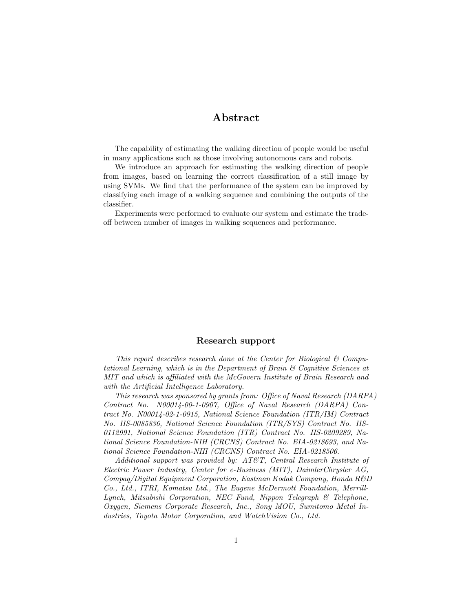#### Abstract

The capability of estimating the walking direction of people would be useful in many applications such as those involving autonomous cars and robots.

We introduce an approach for estimating the walking direction of people from images, based on learning the correct classification of a still image by using SVMs. We find that the performance of the system can be improved by classifying each image of a walking sequence and combining the outputs of the classifier.

Experiments were performed to evaluate our system and estimate the tradeoff between number of images in walking sequences and performance.

#### Research support

This report describes research done at the Center for Biological & Computational Learning, which is in the Department of Brain & Cognitive Sciences at MIT and which is affiliated with the McGovern Institute of Brain Research and with the Artificial Intelligence Laboratory.

This research was sponsored by grants from: Office of Naval Research (DARPA) Contract No. N00014-00-1-0907, Office of Naval Research (DARPA) Contract No. N00014-02-1-0915, National Science Foundation (ITR/IM) Contract No. IIS-0085836, National Science Foundation (ITR/SYS) Contract No. IIS-0112991, National Science Foundation (ITR) Contract No. IIS-0209289, National Science Foundation-NIH (CRCNS) Contract No. EIA-0218693, and National Science Foundation-NIH (CRCNS) Contract No. EIA-0218506.

Additional support was provided by: AT&T, Central Research Institute of Electric Power Industry, Center for e-Business (MIT), DaimlerChrysler AG, Compaq/Digital Equipment Corporation, Eastman Kodak Company, Honda R&D Co., Ltd., ITRI, Komatsu Ltd., The Eugene McDermott Foundation, Merrill-Lynch, Mitsubishi Corporation, NEC Fund, Nippon Telegraph & Telephone, Oxygen, Siemens Corporate Research, Inc., Sony MOU, Sumitomo Metal Industries, Toyota Motor Corporation, and WatchVision Co., Ltd.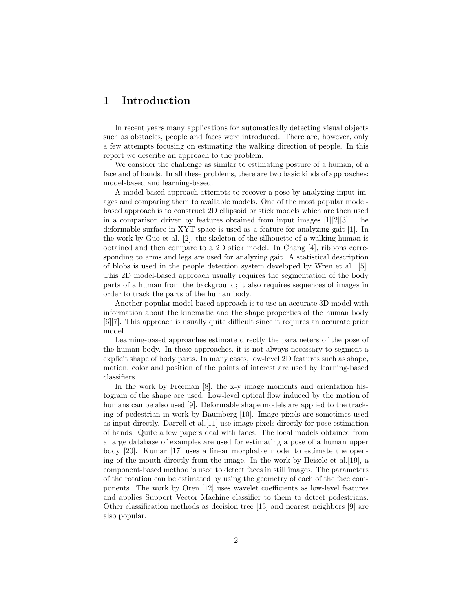### 1 Introduction

In recent years many applications for automatically detecting visual objects such as obstacles, people and faces were introduced. There are, however, only a few attempts focusing on estimating the walking direction of people. In this report we describe an approach to the problem.

We consider the challenge as similar to estimating posture of a human, of a face and of hands. In all these problems, there are two basic kinds of approaches: model-based and learning-based.

A model-based approach attempts to recover a pose by analyzing input images and comparing them to available models. One of the most popular modelbased approach is to construct 2D ellipsoid or stick models which are then used in a comparison driven by features obtained from input images  $[1][2][3]$ . The deformable surface in XYT space is used as a feature for analyzing gait [1]. In the work by Guo et al. [2], the skeleton of the silhouette of a walking human is obtained and then compare to a 2D stick model. In Chang [4], ribbons corresponding to arms and legs are used for analyzing gait. A statistical description of blobs is used in the people detection system developed by Wren et al. [5]. This 2D model-based approach usually requires the segmentation of the body parts of a human from the background; it also requires sequences of images in order to track the parts of the human body.

Another popular model-based approach is to use an accurate 3D model with information about the kinematic and the shape properties of the human body [6][7]. This approach is usually quite difficult since it requires an accurate prior model.

Learning-based approaches estimate directly the parameters of the pose of the human body. In these approaches, it is not always necessary to segment a explicit shape of body parts. In many cases, low-level 2D features such as shape, motion, color and position of the points of interest are used by learning-based classifiers.

In the work by Freeman [8], the x-y image moments and orientation histogram of the shape are used. Low-level optical flow induced by the motion of humans can be also used [9]. Deformable shape models are applied to the tracking of pedestrian in work by Baumberg [10]. Image pixels are sometimes used as input directly. Darrell et al.[11] use image pixels directly for pose estimation of hands. Quite a few papers deal with faces. The local models obtained from a large database of examples are used for estimating a pose of a human upper body [20]. Kumar [17] uses a linear morphable model to estimate the opening of the mouth directly from the image. In the work by Heisele et al.[19], a component-based method is used to detect faces in still images. The parameters of the rotation can be estimated by using the geometry of each of the face components. The work by Oren [12] uses wavelet coefficients as low-level features and applies Support Vector Machine classifier to them to detect pedestrians. Other classification methods as decision tree [13] and nearest neighbors [9] are also popular.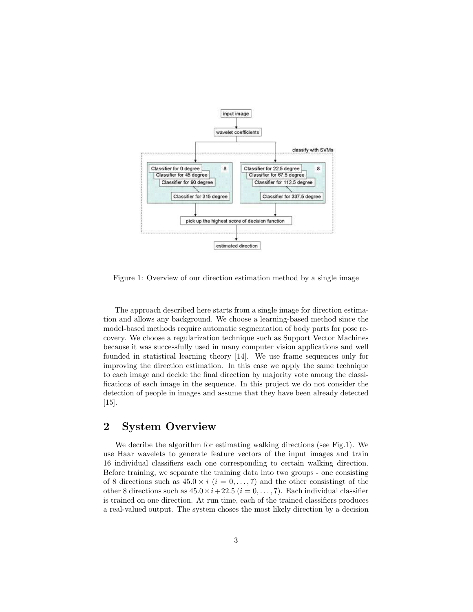

Figure 1: Overview of our direction estimation method by a single image

The approach described here starts from a single image for direction estimation and allows any background. We choose a learning-based method since the model-based methods require automatic segmentation of body parts for pose recovery. We choose a regularization technique such as Support Vector Machines because it was successfully used in many computer vision applications and well founded in statistical learning theory [14]. We use frame sequences only for improving the direction estimation. In this case we apply the same technique to each image and decide the final direction by majority vote among the classifications of each image in the sequence. In this project we do not consider the detection of people in images and assume that they have been already detected [15].

### 2 System Overview

We decribe the algorithm for estimating walking directions (see Fig.1). We use Haar wavelets to generate feature vectors of the input images and train 16 individual classifiers each one corresponding to certain walking direction. Before training, we separate the training data into two groups - one consisting of 8 directions such as  $45.0 \times i$  ( $i = 0, \ldots, 7$ ) and the other consistingt of the other 8 directions such as  $45.0 \times i + 22.5$   $(i = 0, \ldots, 7)$ . Each individual classifier is trained on one direction. At run time, each of the trained classifiers produces a real-valued output. The system choses the most likely direction by a decision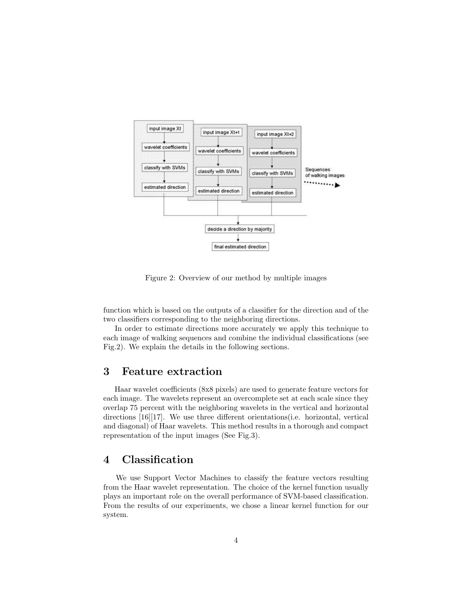

Figure 2: Overview of our method by multiple images

function which is based on the outputs of a classifier for the direction and of the two classifiers corresponding to the neighboring directions.

In order to estimate directions more accurately we apply this technique to each image of walking sequences and combine the individual classifications (see Fig.2). We explain the details in the following sections.

#### 3 Feature extraction

Haar wavelet coefficients (8x8 pixels) are used to generate feature vectors for each image. The wavelets represent an overcomplete set at each scale since they overlap 75 percent with the neighboring wavelets in the vertical and horizontal directions [16][17]. We use three different orientations(i.e. horizontal, vertical and diagonal) of Haar wavelets. This method results in a thorough and compact representation of the input images (See Fig.3).

#### 4 Classification

We use Support Vector Machines to classify the feature vectors resulting from the Haar wavelet representation. The choice of the kernel function usually plays an important role on the overall performance of SVM-based classification. From the results of our experiments, we chose a linear kernel function for our system.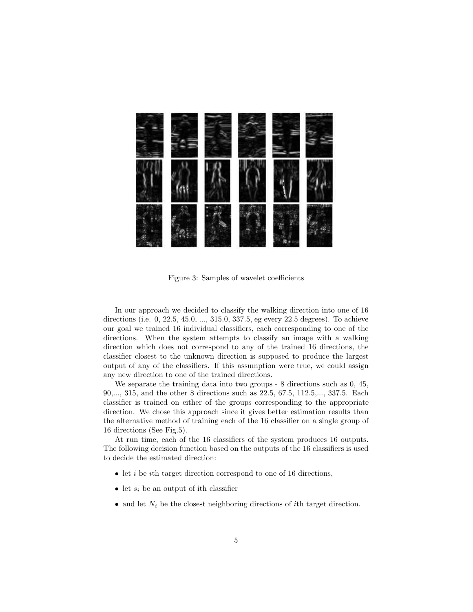

Figure 3: Samples of wavelet coefficients

In our approach we decided to classify the walking direction into one of 16 directions (i.e. 0, 22.5, 45.0, ..., 315.0, 337.5, eg every 22.5 degrees). To achieve our goal we trained 16 individual classifiers, each corresponding to one of the directions. When the system attempts to classify an image with a walking direction which does not correspond to any of the trained 16 directions, the classifier closest to the unknown direction is supposed to produce the largest output of any of the classifiers. If this assumption were true, we could assign any new direction to one of the trained directions.

We separate the training data into two groups - 8 directions such as 0, 45, 90,..., 315, and the other 8 directions such as 22.5, 67.5, 112.5,..., 337.5. Each classifier is trained on either of the groups corresponding to the appropriate direction. We chose this approach since it gives better estimation results than the alternative method of training each of the 16 classifier on a single group of 16 directions (See Fig.5).

At run time, each of the 16 classifiers of the system produces 16 outputs. The following decision function based on the outputs of the 16 classifiers is used to decide the estimated direction:

- $\bullet$  let *i* be *i*th target direction correspond to one of 16 directions,
- let  $s_i$  be an output of ith classifier
- and let  $N_i$  be the closest neighboring directions of *i*th target direction.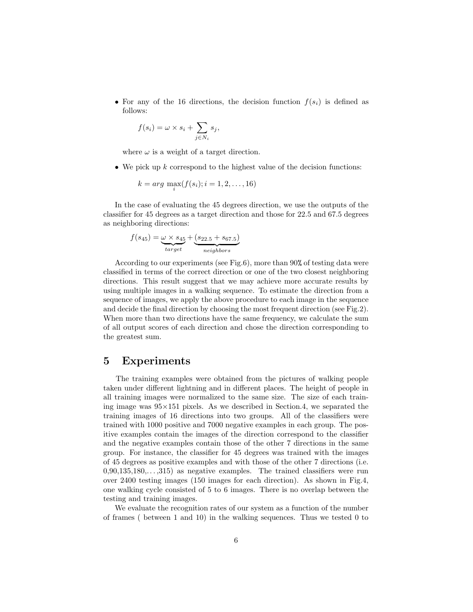• For any of the 16 directions, the decision function  $f(s_i)$  is defined as follows:

$$
f(s_i) = \omega \times s_i + \sum_{j \in N_i} s_j,
$$

where  $\omega$  is a weight of a target direction.

• We pick up  $k$  correspond to the highest value of the decision functions:

$$
k = arg \ \max_{i} (f(s_i); i = 1, 2, \dots, 16)
$$

In the case of evaluating the 45 degrees direction, we use the outputs of the classifier for 45 degrees as a target direction and those for 22.5 and 67.5 degrees as neighboring directions:

$$
f(s_{45}) = \underbrace{\omega \times s_{45}}_{target} + \underbrace{(s_{22.5} + s_{67.5})}_{neighbors}
$$

According to our experiments (see Fig.6), more than 90% of testing data were classified in terms of the correct direction or one of the two closest neighboring directions. This result suggest that we may achieve more accurate results by using multiple images in a walking sequence. To estimate the direction from a sequence of images, we apply the above procedure to each image in the sequence and decide the final direction by choosing the most frequent direction (see Fig.2). When more than two directions have the same frequency, we calculate the sum of all output scores of each direction and chose the direction corresponding to the greatest sum.

#### 5 Experiments

The training examples were obtained from the pictures of walking people taken under different lightning and in different places. The height of people in all training images were normalized to the same size. The size of each training image was  $95\times151$  pixels. As we described in Section.4, we separated the training images of 16 directions into two groups. All of the classifiers were trained with 1000 positive and 7000 negative examples in each group. The positive examples contain the images of the direction correspond to the classifier and the negative examples contain those of the other 7 directions in the same group. For instance, the classifier for 45 degrees was trained with the images of 45 degrees as positive examples and with those of the other 7 directions (i.e.  $0.90,135,180,\ldots,315$  as negative examples. The trained classifiers were run over 2400 testing images (150 images for each direction). As shown in Fig.4, one walking cycle consisted of 5 to 6 images. There is no overlap between the testing and training images.

We evaluate the recognition rates of our system as a function of the number of frames ( between 1 and 10) in the walking sequences. Thus we tested 0 to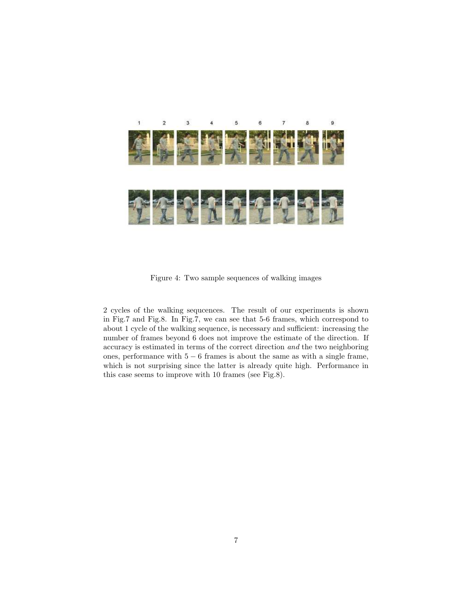

Figure 4: Two sample sequences of walking images

2 cycles of the walking sequcences. The result of our experiments is shown in Fig.7 and Fig.8. In Fig.7, we can see that 5-6 frames, which correspond to about 1 cycle of the walking sequence, is necessary and sufficient: increasing the number of frames beyond 6 does not improve the estimate of the direction. If accuracy is estimated in terms of the correct direction and the two neighboring ones, performance with 5 − 6 frames is about the same as with a single frame, which is not surprising since the latter is already quite high. Performance in this case seems to improve with 10 frames (see Fig.8).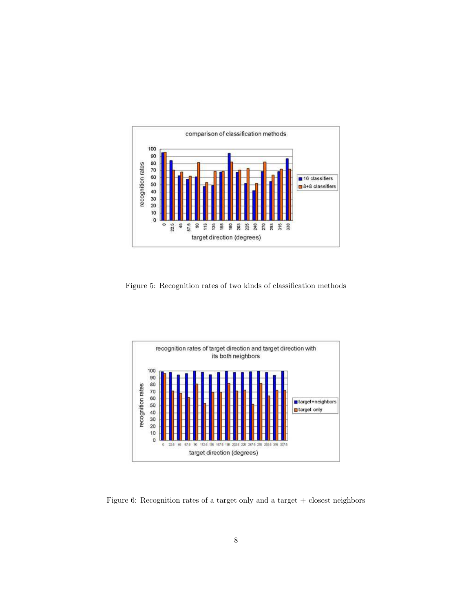

Figure 5: Recognition rates of two kinds of classification methods



Figure 6: Recognition rates of a target only and a target  $+$  closest neighbors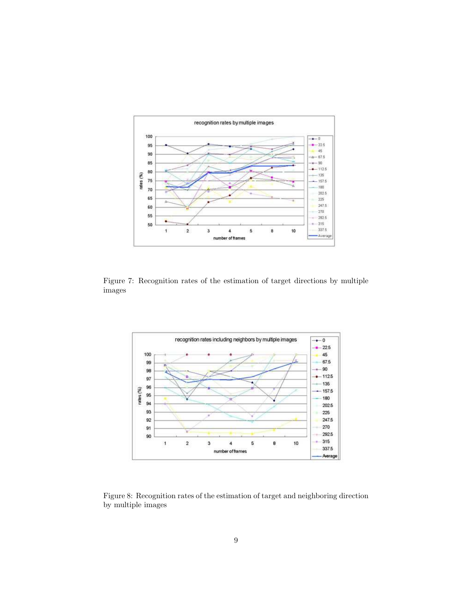

Figure 7: Recognition rates of the estimation of target directions by multiple images



Figure 8: Recognition rates of the estimation of target and neighboring direction by multiple images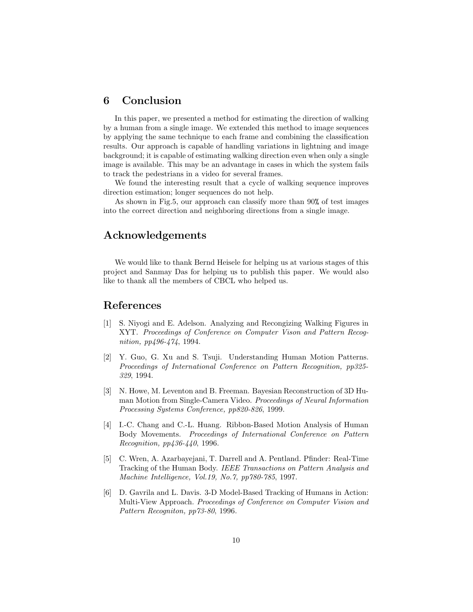#### 6 Conclusion

In this paper, we presented a method for estimating the direction of walking by a human from a single image. We extended this method to image sequences by applying the same technique to each frame and combining the classification results. Our approach is capable of handling variations in lightning and image background; it is capable of estimating walking direction even when only a single image is available. This may be an advantage in cases in which the system fails to track the pedestrians in a video for several frames.

We found the interesting result that a cycle of walking sequence improves direction estimation; longer sequences do not help.

As shown in Fig.5, our approach can classify more than 90% of test images into the correct direction and neighboring directions from a single image.

#### Acknowledgements

We would like to thank Bernd Heisele for helping us at various stages of this project and Sanmay Das for helping us to publish this paper. We would also like to thank all the members of CBCL who helped us.

#### References

- [1] S. Niyogi and E. Adelson. Analyzing and Recongizing Walking Figures in XYT. Proceedings of Conference on Computer Vison and Pattern Recognition, pp496-474, 1994.
- [2] Y. Guo, G. Xu and S. Tsuji. Understanding Human Motion Patterns. Proceedings of International Conference on Pattern Recognition, pp325- 329, 1994.
- [3] N. Howe, M. Leventon and B. Freeman. Bayesian Reconstruction of 3D Human Motion from Single-Camera Video. Proceedings of Neural Information Processing Systems Conference, pp820-826, 1999.
- [4] I.-C. Chang and C.-L. Huang. Ribbon-Based Motion Analysis of Human Body Movements. Proceedings of International Conference on Pattern Recognition, pp436-440, 1996.
- [5] C. Wren, A. Azarbayejani, T. Darrell and A. Pentland. Pfinder: Real-Time Tracking of the Human Body. IEEE Transactions on Pattern Analysis and Machine Intelligence, Vol.19, No.7, pp780-785, 1997.
- [6] D. Gavrila and L. Davis. 3-D Model-Based Tracking of Humans in Action: Multi-View Approach. Proceedings of Conference on Computer Vision and Pattern Recogniton, pp73-80, 1996.